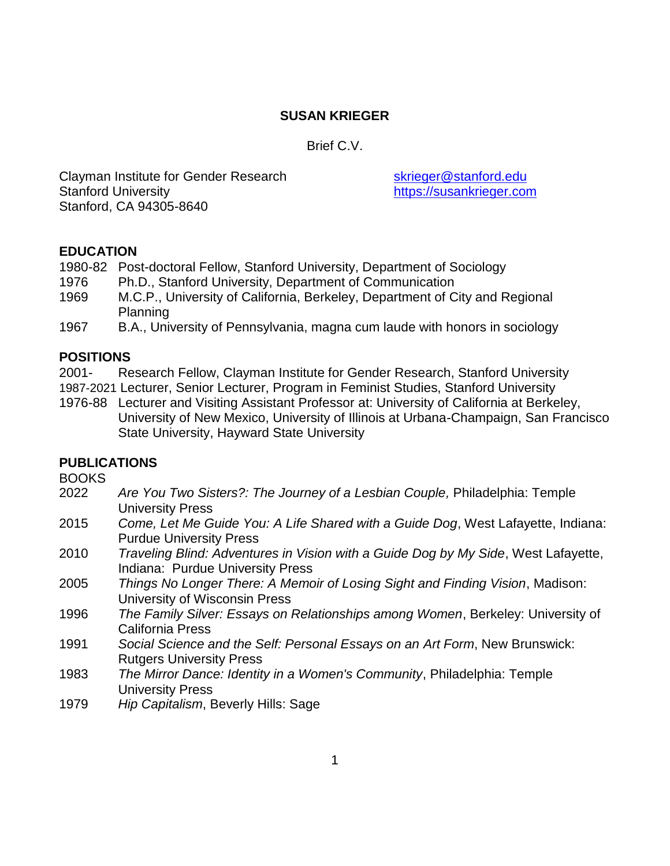# **SUSAN KRIEGER**

Brief C.V.

Clayman Institute for Gender Research Sale Stanford.edu Stanford University **Stanford University** [https://susankrieger.com](https://susankrieger.com/) Stanford, CA 94305-8640

### **EDUCATION**

1980-82 Post-doctoral Fellow, Stanford University, Department of Sociology

- 1976 Ph.D., Stanford University, Department of Communication
- 1969 M.C.P., University of California, Berkeley, Department of City and Regional Planning
- 1967 B.A., University of Pennsylvania, magna cum laude with honors in sociology

### **POSITIONS**

- 2001- Research Fellow, Clayman Institute for Gender Research, Stanford University
- 1987-2021 Lecturer, Senior Lecturer, Program in Feminist Studies, Stanford University
- 1976-88 Lecturer and Visiting Assistant Professor at: University of California at Berkeley, University of New Mexico, University of Illinois at Urbana-Champaign, San Francisco State University, Hayward State University

# **PUBLICATIONS**

BOOKS

- 2022 *Are You Two Sisters?: The Journey of a Lesbian Couple,* Philadelphia: Temple University Press
- 2015 *Come, Let Me Guide You: A Life Shared with a Guide Dog*, West Lafayette, Indiana: Purdue University Press
- 2010 *Traveling Blind: Adventures in Vision with a Guide Dog by My Side*, West Lafayette, Indiana: Purdue University Press
- 2005 *Things No Longer There: A Memoir of Losing Sight and Finding Vision*, Madison: University of Wisconsin Press
- 1996 *The Family Silver: Essays on Relationships among Women*, Berkeley: University of California Press
- 1991 *Social Science and the Self: Personal Essays on an Art Form*, New Brunswick: Rutgers University Press
- 1983 *The Mirror Dance: Identity in a Women's Community*, Philadelphia: Temple University Press
- 1979 *Hip Capitalism*, Beverly Hills: Sage